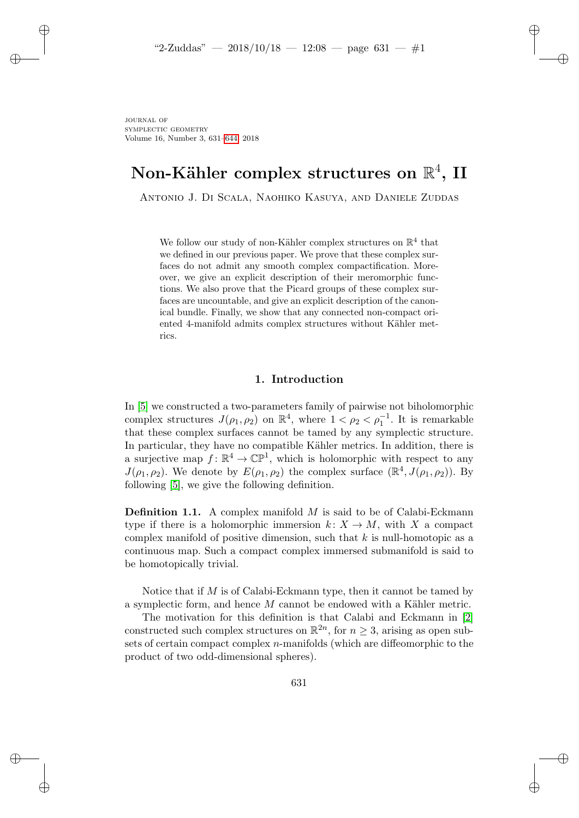# Non-Kähler complex structures on  $\mathbb{R}^4,$  II

Antonio J. Di Scala, Naohiko Kasuya, and Daniele Zuddas

We follow our study of non-Kähler complex structures on  $\mathbb{R}^4$  that we defined in our previous paper. We prove that these complex surfaces do not admit any smooth complex compactification. Moreover, we give an explicit description of their meromorphic functions. We also prove that the Picard groups of these complex surfaces are uncountable, and give an explicit description of the canonical bundle. Finally, we show that any connected non-compact oriented 4-manifold admits complex structures without Kähler metrics.

### 1. Introduction

In [\[5\]](#page-11-0) we constructed a two-parameters family of pairwise not biholomorphic complex structures  $J(\rho_1, \rho_2)$  on  $\mathbb{R}^4$ , where  $1 < \rho_2 < \rho_1^{-1}$ . It is remarkable that these complex surfaces cannot be tamed by any symplectic structure. In particular, they have no compatible Kähler metrics. In addition, there is a surjective map  $f: \mathbb{R}^4 \to \mathbb{CP}^1$ , which is holomorphic with respect to any  $J(\rho_1, \rho_2)$ . We denote by  $E(\rho_1, \rho_2)$  the complex surface  $(\mathbb{R}^4, J(\rho_1, \rho_2))$ . By following [\[5\]](#page-11-0), we give the following definition.

<span id="page-0-0"></span>**Definition 1.1.** A complex manifold  $M$  is said to be of Calabi-Eckmann type if there is a holomorphic immersion  $k: X \to M$ , with X a compact complex manifold of positive dimension, such that  $k$  is null-homotopic as a continuous map. Such a compact complex immersed submanifold is said to be homotopically trivial.

Notice that if  $M$  is of Calabi-Eckmann type, then it cannot be tamed by a symplectic form, and hence  $M$  cannot be endowed with a Kähler metric.

The motivation for this definition is that Calabi and Eckmann in [\[2\]](#page-11-1) constructed such complex structures on  $\mathbb{R}^{2n}$ , for  $n \geq 3$ , arising as open subsets of certain compact complex  $n$ -manifolds (which are diffeomorphic to the product of two odd-dimensional spheres).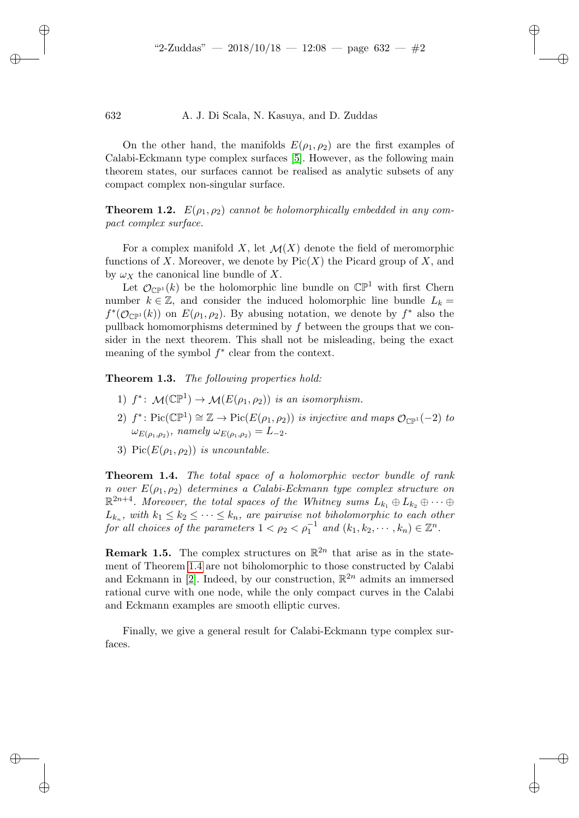On the other hand, the manifolds  $E(\rho_1, \rho_2)$  are the first examples of Calabi-Eckmann type complex surfaces [\[5\]](#page-11-0). However, as the following main theorem states, our surfaces cannot be realised as analytic subsets of any compact complex non-singular surface.

<span id="page-1-1"></span>**Theorem 1.2.**  $E(\rho_1, \rho_2)$  cannot be holomorphically embedded in any compact complex surface.

For a complex manifold X, let  $\mathcal{M}(X)$  denote the field of meromorphic functions of X. Moreover, we denote by  $Pic(X)$  the Picard group of X, and by  $\omega_X$  the canonical line bundle of X.

Let  $\mathcal{O}_{\mathbb{CP}^1}(k)$  be the holomorphic line bundle on  $\mathbb{CP}^1$  with first Chern number  $k \in \mathbb{Z}$ , and consider the induced holomorphic line bundle  $L_k =$  $f^*(\mathcal{O}_{\mathbb{CP}^1}(k))$  on  $E(\rho_1, \rho_2)$ . By abusing notation, we denote by  $f^*$  also the pullback homomorphisms determined by  $f$  between the groups that we consider in the next theorem. This shall not be misleading, being the exact meaning of the symbol  $f^*$  clear from the context.

<span id="page-1-2"></span>Theorem 1.3. The following properties hold:

- 1)  $f^*$ :  $\mathcal{M}(\mathbb{CP}^1) \to \mathcal{M}(E(\rho_1, \rho_2))$  is an isomorphism.
- 2)  $f^*: Pic(\mathbb{CP}^1) \cong \mathbb{Z} \to Pic(E(\rho_1, \rho_2))$  is injective and maps  $\mathcal{O}_{\mathbb{CP}^1}(-2)$  to  $\omega_{E(\rho_1,\rho_2)}$ , namely  $\omega_{E(\rho_1,\rho_2)} = L_{-2}$ .
- 3) Pic $(E(\rho_1, \rho_2))$  is uncountable.

<span id="page-1-0"></span>Theorem 1.4. The total space of a holomorphic vector bundle of rank n over  $E(\rho_1, \rho_2)$  determines a Calabi-Eckmann type complex structure on  $\mathbb{R}^{2n+4}$ . Moreover, the total spaces of the Whitney sums  $L_{k_1}\oplus L_{k_2}\oplus\cdots\oplus$  $L_{k_n}$ , with  $k_1 \leq k_2 \leq \cdots \leq k_n$ , are pairwise not biholomorphic to each other for all choices of the parameters  $1 < \rho_2 < \rho_1^{-1}$  and  $(k_1, k_2, \dots, k_n) \in \mathbb{Z}^n$ .

**Remark 1.5.** The complex structures on  $\mathbb{R}^{2n}$  that arise as in the statement of Theorem [1.4](#page-1-0) are not biholomorphic to those constructed by Calabi and Eckmann in [\[2\]](#page-11-1). Indeed, by our construction,  $\mathbb{R}^{2n}$  admits an immersed rational curve with one node, while the only compact curves in the Calabi and Eckmann examples are smooth elliptic curves.

Finally, we give a general result for Calabi-Eckmann type complex surfaces.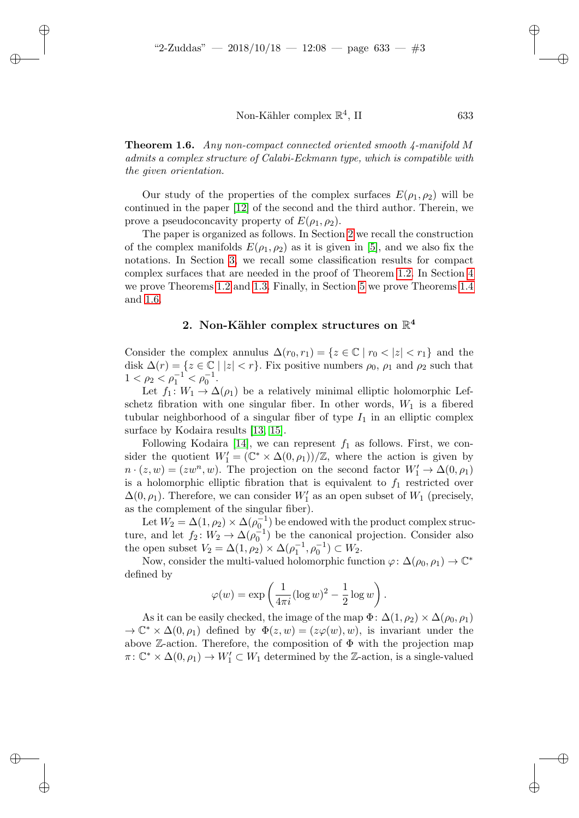<span id="page-2-1"></span>Theorem 1.6. Any non-compact connected oriented smooth 4-manifold M admits a complex structure of Calabi-Eckmann type, which is compatible with the given orientation.

Our study of the properties of the complex surfaces  $E(\rho_1, \rho_2)$  will be continued in the paper [\[12\]](#page-12-0) of the second and the third author. Therein, we prove a pseudoconcavity property of  $E(\rho_1, \rho_2)$ .

The paper is organized as follows. In Section [2](#page-2-0) we recall the construction of the complex manifolds  $E(\rho_1, \rho_2)$  as it is given in [\[5\]](#page-11-0), and we also fix the notations. In Section [3,](#page-3-0) we recall some classification results for compact complex surfaces that are needed in the proof of Theorem [1.2.](#page-1-1) In Section [4](#page-4-0) we prove Theorems [1.2](#page-1-1) and [1.3.](#page-1-2) Finally, in Section [5](#page-8-0) we prove Theorems [1.4](#page-1-0) and [1.6.](#page-2-1)

## 2. Non-Kähler complex structures on  $\mathbb{R}^4$

<span id="page-2-0"></span>Consider the complex annulus  $\Delta(r_0, r_1) = \{z \in \mathbb{C} \mid r_0 < |z| < r_1\}$  and the disk  $\Delta(r) = \{z \in \mathbb{C} \mid |z| < r\}$ . Fix positive numbers  $\rho_0$ ,  $\rho_1$  and  $\rho_2$  such that  $1 < \rho_2 < \rho_1^{-1} < \rho_0^{-1}.$ 

Let  $f_1: W_1 \to \Delta(\rho_1)$  be a relatively minimal elliptic holomorphic Lefschetz fibration with one singular fiber. In other words,  $W_1$  is a fibered tubular neighborhood of a singular fiber of type  $I_1$  in an elliptic complex surface by Kodaira results [\[13,](#page-12-1) [15\]](#page-12-2).

Following Kodaira [\[14\]](#page-12-3), we can represent  $f_1$  as follows. First, we consider the quotient  $W'_1 = (\mathbb{C}^* \times \Delta(0,\rho_1))/\mathbb{Z}$ , where the action is given by  $n \cdot (z, w) = (zw^n, w)$ . The projection on the second factor  $W'_1 \to \Delta(0, \rho_1)$ is a holomorphic elliptic fibration that is equivalent to  $f_1$  restricted over  $\Delta(0,\rho_1)$ . Therefore, we can consider  $W_1'$  as an open subset of  $W_1$  (precisely, as the complement of the singular fiber).

Let  $W_2 = \Delta(1,\rho_2) \times \Delta(\rho_0^{-1})$  be endowed with the product complex structure, and let  $f_2: W_2 \to \Delta(\rho_0^{-1})$  be the canonical projection. Consider also the open subset  $V_2 = \Delta(1, \rho_2) \times \Delta(\rho_1^{-1}, \rho_0^{-1}) \subset W_2$ .

Now, consider the multi-valued holomorphic function  $\varphi: \Delta(\rho_0, \rho_1) \to \mathbb{C}^*$ defined by

$$
\varphi(w) = \exp\left(\frac{1}{4\pi i} (\log w)^2 - \frac{1}{2} \log w\right).
$$

As it can be easily checked, the image of the map  $\Phi: \Delta(1,\rho_2) \times \Delta(\rho_0,\rho_1)$  $\rightarrow \mathbb{C}^* \times \Delta(0,\rho_1)$  defined by  $\Phi(z,w) = (z\varphi(w),w)$ , is invariant under the above  $\mathbb{Z}$ -action. Therefore, the composition of  $\Phi$  with the projection map  $\pi: \mathbb{C}^* \times \Delta(0, \rho_1) \to W_1' \subset W_1$  determined by the Z-action, is a single-valued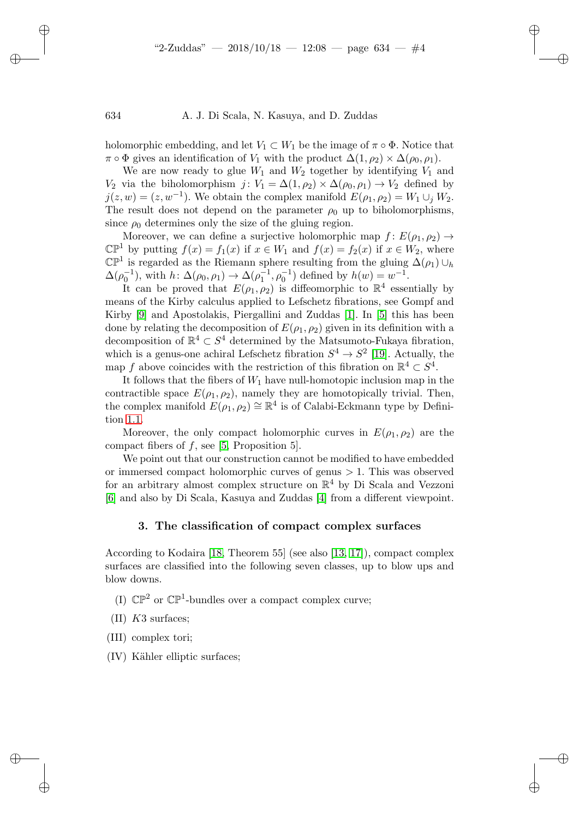holomorphic embedding, and let  $V_1 \subset W_1$  be the image of  $\pi \circ \Phi$ . Notice that  $\pi \circ \Phi$  gives an identification of  $V_1$  with the product  $\Delta(1, \rho_2) \times \Delta(\rho_0, \rho_1)$ .

We are now ready to glue  $W_1$  and  $W_2$  together by identifying  $V_1$  and  $V_2$  via the biholomorphism  $j: V_1 = \Delta(1, \rho_2) \times \Delta(\rho_0, \rho_1) \rightarrow V_2$  defined by  $j(z, w) = (z, w^{-1})$ . We obtain the complex manifold  $E(\rho_1, \rho_2) = W_1 \cup_j W_2$ . The result does not depend on the parameter  $\rho_0$  up to biholomorphisms, since  $\rho_0$  determines only the size of the gluing region.

Moreover, we can define a surjective holomorphic map  $f: E(\rho_1, \rho_2) \rightarrow$  $\mathbb{CP}^1$  by putting  $f(x) = f_1(x)$  if  $x \in W_1$  and  $f(x) = f_2(x)$  if  $x \in W_2$ , where  $\mathbb{CP}^1$  is regarded as the Riemann sphere resulting from the gluing  $\Delta(\rho_1) \cup_h$  $\Delta(\rho_0^{-1})$ , with  $h: \Delta(\rho_0, \rho_1) \to \Delta(\rho_1^{-1}, \rho_0^{-1})$  defined by  $h(w) = w^{-1}$ .

It can be proved that  $E(\rho_1, \rho_2)$  is diffeomorphic to  $\mathbb{R}^4$  essentially by means of the Kirby calculus applied to Lefschetz fibrations, see Gompf and Kirby [\[9\]](#page-11-2) and Apostolakis, Piergallini and Zuddas [\[1\]](#page-11-3). In [\[5\]](#page-11-0) this has been done by relating the decomposition of  $E(\rho_1, \rho_2)$  given in its definition with a decomposition of  $\mathbb{R}^4 \subset S^4$  determined by the Matsumoto-Fukaya fibration, which is a genus-one achiral Lefschetz fibration  $S^4 \to S^2$  [\[19\]](#page-12-4). Actually, the map f above coincides with the restriction of this fibration on  $\mathbb{R}^4 \subset S^4$ .

It follows that the fibers of  $W_1$  have null-homotopic inclusion map in the contractible space  $E(\rho_1, \rho_2)$ , namely they are homotopically trivial. Then, the complex manifold  $E(\rho_1, \rho_2) \cong \mathbb{R}^4$  is of Calabi-Eckmann type by Definition [1.1.](#page-0-0)

Moreover, the only compact holomorphic curves in  $E(\rho_1, \rho_2)$  are the compact fibers of  $f$ , see [\[5,](#page-11-0) Proposition 5].

We point out that our construction cannot be modified to have embedded or immersed compact holomorphic curves of genus  $> 1$ . This was observed for an arbitrary almost complex structure on  $\mathbb{R}^4$  by Di Scala and Vezzoni [\[6\]](#page-11-4) and also by Di Scala, Kasuya and Zuddas [\[4\]](#page-11-5) from a different viewpoint.

#### 3. The classification of compact complex surfaces

<span id="page-3-0"></span>According to Kodaira [\[18,](#page-12-5) Theorem 55] (see also [\[13,](#page-12-1) [17\]](#page-12-6)), compact complex surfaces are classified into the following seven classes, up to blow ups and blow downs.

- (I)  $\mathbb{CP}^2$  or  $\mathbb{CP}^1$ -bundles over a compact complex curve;
- $(II)$  K3 surfaces;
- (III) complex tori;
- (IV) Kähler elliptic surfaces;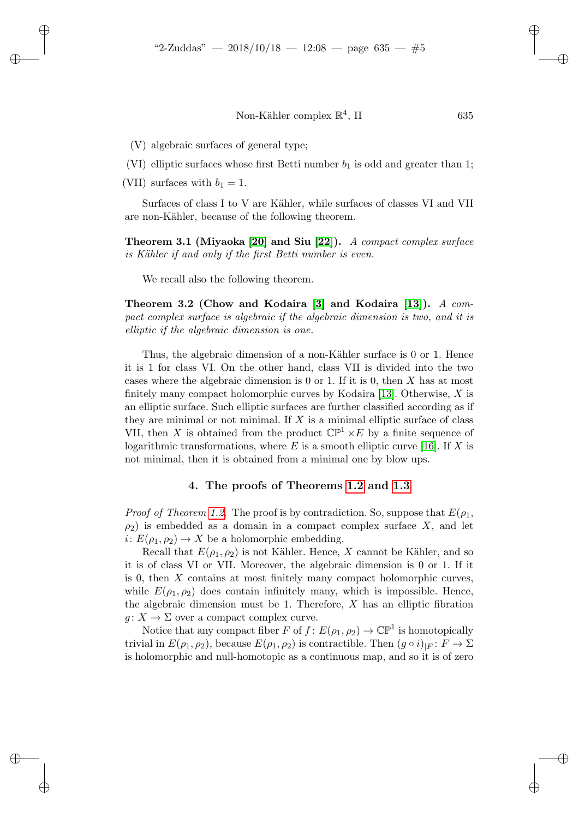635

(V) algebraic surfaces of general type;

(VI) elliptic surfaces whose first Betti number  $b_1$  is odd and greater than 1;

(VII) surfaces with  $b_1 = 1$ .

Surfaces of class I to V are Kähler, while surfaces of classes VI and VII are non-Kähler, because of the following theorem.

Theorem 3.1 (Miyaoka [\[20\]](#page-12-7) and Siu [\[22\]](#page-12-8)). A compact complex surface is Kähler if and only if the first Betti number is even.

We recall also the following theorem.

Theorem 3.2 (Chow and Kodaira [\[3\]](#page-11-6) and Kodaira [\[13\]](#page-12-1)). A compact complex surface is algebraic if the algebraic dimension is two, and it is elliptic if the algebraic dimension is one.

Thus, the algebraic dimension of a non-Kähler surface is 0 or 1. Hence it is 1 for class VI. On the other hand, class VII is divided into the two cases where the algebraic dimension is 0 or 1. If it is 0, then  $X$  has at most finitely many compact holomorphic curves by Kodaira [\[13\]](#page-12-1). Otherwise, X is an elliptic surface. Such elliptic surfaces are further classified according as if they are minimal or not minimal. If  $X$  is a minimal elliptic surface of class VII, then X is obtained from the product  $\mathbb{CP}^1 \times E$  by a finite sequence of logarithmic transformations, where  $E$  is a smooth elliptic curve [\[16\]](#page-12-9). If  $X$  is not minimal, then it is obtained from a minimal one by blow ups.

#### 4. The proofs of Theorems [1.2](#page-1-1) and [1.3](#page-1-2)

<span id="page-4-0"></span>*Proof of Theorem [1.2.](#page-1-1)* The proof is by contradiction. So, suppose that  $E(\rho_1, \rho_2)$  $\rho_2$ ) is embedded as a domain in a compact complex surface X, and let  $i: E(\rho_1, \rho_2) \to X$  be a holomorphic embedding.

Recall that  $E(\rho_1, \rho_2)$  is not Kähler. Hence, X cannot be Kähler, and so it is of class VI or VII. Moreover, the algebraic dimension is 0 or 1. If it is 0, then X contains at most finitely many compact holomorphic curves, while  $E(\rho_1, \rho_2)$  does contain infinitely many, which is impossible. Hence, the algebraic dimension must be 1. Therefore,  $X$  has an elliptic fibration  $g: X \to \Sigma$  over a compact complex curve.

Notice that any compact fiber F of  $f: E(\rho_1, \rho_2) \to \mathbb{CP}^1$  is homotopically trivial in  $E(\rho_1, \rho_2)$ , because  $E(\rho_1, \rho_2)$  is contractible. Then  $(g \circ i)_{|F} : F \to \Sigma$ is holomorphic and null-homotopic as a continuous map, and so it is of zero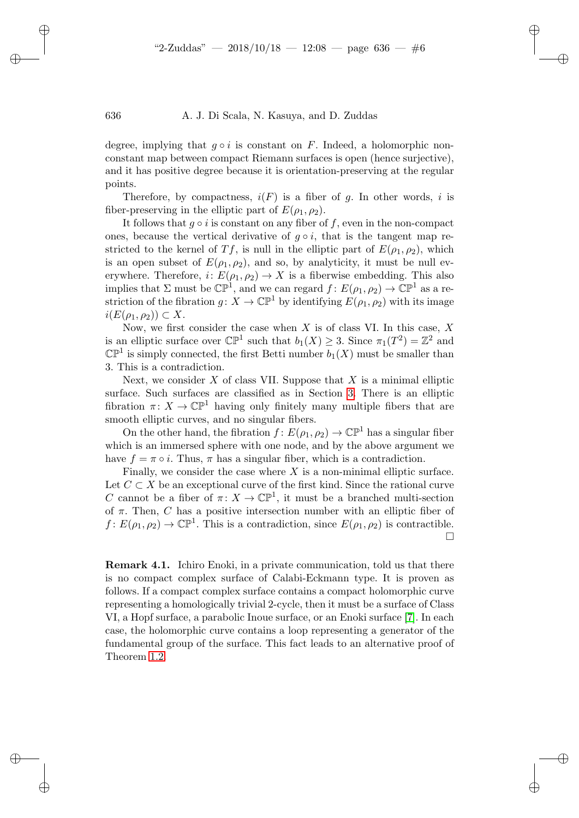degree, implying that  $q \circ i$  is constant on F. Indeed, a holomorphic nonconstant map between compact Riemann surfaces is open (hence surjective), and it has positive degree because it is orientation-preserving at the regular points.

Therefore, by compactness,  $i(F)$  is a fiber of g. In other words, i is fiber-preserving in the elliptic part of  $E(\rho_1, \rho_2)$ .

It follows that  $q \circ i$  is constant on any fiber of f, even in the non-compact ones, because the vertical derivative of  $g \circ i$ , that is the tangent map restricted to the kernel of Tf, is null in the elliptic part of  $E(\rho_1, \rho_2)$ , which is an open subset of  $E(\rho_1, \rho_2)$ , and so, by analyticity, it must be null everywhere. Therefore,  $i: E(\rho_1, \rho_2) \to X$  is a fiberwise embedding. This also implies that  $\Sigma$  must be  $\mathbb{CP}^1$ , and we can regard  $f: E(\rho_1, \rho_2) \to \mathbb{CP}^1$  as a restriction of the fibration  $g: X \to \mathbb{CP}^1$  by identifying  $E(\rho_1, \rho_2)$  with its image  $i(E(\rho_1, \rho_2)) \subset X$ .

Now, we first consider the case when  $X$  is of class VI. In this case,  $X$ is an elliptic surface over  $\mathbb{CP}^1$  such that  $b_1(X) \geq 3$ . Since  $\pi_1(T^2) = \mathbb{Z}^2$  and  $\mathbb{CP}^1$  is simply connected, the first Betti number  $b_1(X)$  must be smaller than 3. This is a contradiction.

Next, we consider  $X$  of class VII. Suppose that  $X$  is a minimal elliptic surface. Such surfaces are classified as in Section [3.](#page-3-0) There is an elliptic fibration  $\pi: X \to \mathbb{CP}^1$  having only finitely many multiple fibers that are smooth elliptic curves, and no singular fibers.

On the other hand, the fibration  $f: E(\rho_1, \rho_2) \to \mathbb{CP}^1$  has a singular fiber which is an immersed sphere with one node, and by the above argument we have  $f = \pi \circ i$ . Thus,  $\pi$  has a singular fiber, which is a contradiction.

Finally, we consider the case where  $X$  is a non-minimal elliptic surface. Let  $C \subset X$  be an exceptional curve of the first kind. Since the rational curve C cannot be a fiber of  $\pi: X \to \mathbb{CP}^1$ , it must be a branched multi-section of  $\pi$ . Then, C has a positive intersection number with an elliptic fiber of  $f: E(\rho_1, \rho_2) \to \mathbb{CP}^1$ . This is a contradiction, since  $E(\rho_1, \rho_2)$  is contractible. □

<span id="page-5-0"></span>Remark 4.1. Ichiro Enoki, in a private communication, told us that there is no compact complex surface of Calabi-Eckmann type. It is proven as follows. If a compact complex surface contains a compact holomorphic curve representing a homologically trivial 2-cycle, then it must be a surface of Class VI, a Hopf surface, a parabolic Inoue surface, or an Enoki surface [\[7\]](#page-11-7). In each case, the holomorphic curve contains a loop representing a generator of the fundamental group of the surface. This fact leads to an alternative proof of Theorem [1.2.](#page-1-1)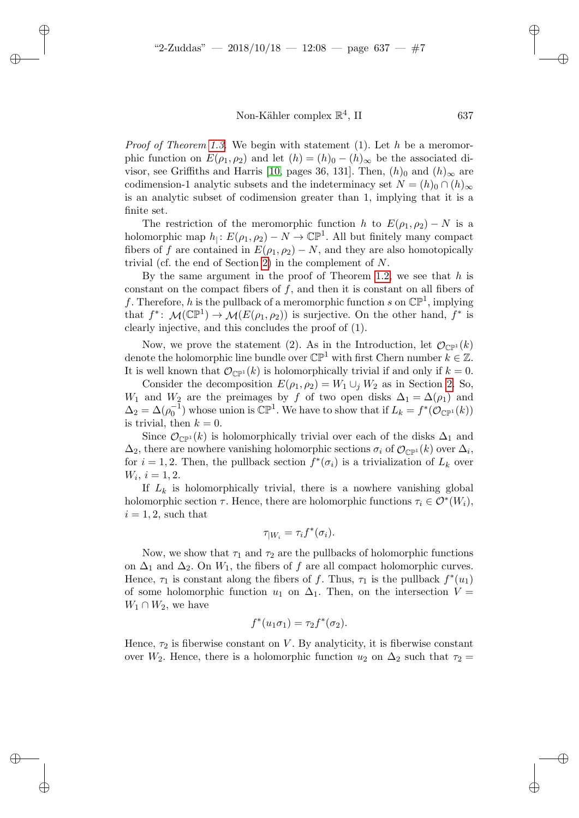*Proof of Theorem [1.3.](#page-1-2)* We begin with statement (1). Let h be a meromorphic function on  $E(\rho_1, \rho_2)$  and let  $(h) = (h)_{0} - (h)_{\infty}$  be the associated di-visor, see Griffiths and Harris [\[10,](#page-11-8) pages 36, 131]. Then,  $(h)$ <sup>0</sup> and  $(h)$ <sup>∞</sup> are codimension-1 analytic subsets and the indeterminacy set  $N = (h)_{0} \cap (h)_{\infty}$ is an analytic subset of codimension greater than 1, implying that it is a finite set.

The restriction of the meromorphic function h to  $E(\rho_1, \rho_2) - N$  is a holomorphic map  $h_1: E(\rho_1, \rho_2) - N \to \mathbb{C} \mathbb{P}^1$ . All but finitely many compact fibers of f are contained in  $E(\rho_1, \rho_2) - N$ , and they are also homotopically trivial (cf. the end of Section [2\)](#page-2-0) in the complement of N.

By the same argument in the proof of Theorem [1.2,](#page-1-1) we see that  $h$  is constant on the compact fibers of  $f$ , and then it is constant on all fibers of f. Therefore, h is the pullback of a meromorphic function s on  $\mathbb{CP}^1$ , implying that  $f^*: \mathcal{M}(\mathbb{CP}^1) \to \mathcal{M}(E(\rho_1, \rho_2))$  is surjective. On the other hand,  $f^*$  is clearly injective, and this concludes the proof of (1).

Now, we prove the statement (2). As in the Introduction, let  $\mathcal{O}_{\mathbb{CP}^1}(k)$ denote the holomorphic line bundle over  $\mathbb{CP}^1$  with first Chern number  $k \in \mathbb{Z}$ . It is well known that  $\mathcal{O}_{\mathbb{CP}^1}(k)$  is holomorphically trivial if and only if  $k = 0$ .

Consider the decomposition  $E(\rho_1, \rho_2) = W_1 \cup_i W_2$  as in Section [2.](#page-2-0) So,  $W_1$  and  $W_2$  are the preimages by f of two open disks  $\Delta_1 = \Delta(\rho_1)$  and  $\Delta_2 = \Delta(\rho_0^{-1})$  whose union is  $\mathbb{CP}^1$ . We have to show that if  $L_k = f^*(\mathcal{O}_{\mathbb{CP}^1}(k))$ is trivial, then  $k = 0$ .

Since  $\mathcal{O}_{\mathbb{CP}^1}(k)$  is holomorphically trivial over each of the disks  $\Delta_1$  and  $\Delta_2$ , there are nowhere vanishing holomorphic sections  $\sigma_i$  of  $\mathcal{O}_{\mathbb{CP}^1}(k)$  over  $\Delta_i$ , for  $i = 1, 2$ . Then, the pullback section  $f^*(\sigma_i)$  is a trivialization of  $L_k$  over  $W_i, i = 1, 2.$ 

If  $L_k$  is holomorphically trivial, there is a nowhere vanishing global holomorphic section  $\tau$ . Hence, there are holomorphic functions  $\tau_i \in \mathcal{O}^*(W_i)$ ,  $i = 1, 2$ , such that

$$
\tau_{|W_i} = \tau_i f^*(\sigma_i).
$$

Now, we show that  $\tau_1$  and  $\tau_2$  are the pullbacks of holomorphic functions on  $\Delta_1$  and  $\Delta_2$ . On  $W_1$ , the fibers of f are all compact holomorphic curves. Hence,  $\tau_1$  is constant along the fibers of f. Thus,  $\tau_1$  is the pullback  $f^*(u_1)$ of some holomorphic function  $u_1$  on  $\Delta_1$ . Then, on the intersection  $V =$  $W_1 \cap W_2$ , we have

$$
f^*(u_1\sigma_1)=\tau_2f^*(\sigma_2).
$$

Hence,  $\tau_2$  is fiberwise constant on V. By analyticity, it is fiberwise constant over  $W_2$ . Hence, there is a holomorphic function  $u_2$  on  $\Delta_2$  such that  $\tau_2 =$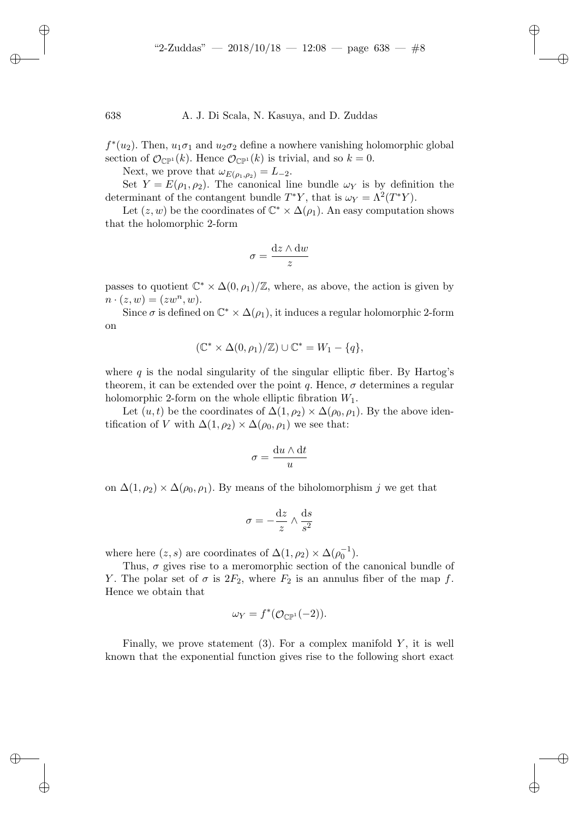$f^*(u_2)$ . Then,  $u_1\sigma_1$  and  $u_2\sigma_2$  define a nowhere vanishing holomorphic global section of  $\mathcal{O}_{\mathbb{CP}^1}(k)$ . Hence  $\mathcal{O}_{\mathbb{CP}^1}(k)$  is trivial, and so  $k = 0$ .

Next, we prove that  $\omega_{E(\rho_1,\rho_2)} = L_{-2}$ .

Set  $Y = E(\rho_1, \rho_2)$ . The canonical line bundle  $\omega_Y$  is by definition the determinant of the contangent bundle  $T^*Y$ , that is  $\omega_Y = \Lambda^2(T^*Y)$ .

Let  $(z, w)$  be the coordinates of  $\mathbb{C}^* \times \Delta(\rho_1)$ . An easy computation shows that the holomorphic 2-form

$$
\sigma = \frac{\mathrm{d}z \wedge \mathrm{d}w}{z}
$$

passes to quotient  $\mathbb{C}^* \times \Delta(0, \rho_1)/\mathbb{Z}$ , where, as above, the action is given by  $n \cdot (z, w) = (zw^n, w).$ 

Since  $\sigma$  is defined on  $\mathbb{C}^* \times \Delta(\rho_1)$ , it induces a regular holomorphic 2-form on

$$
(\mathbb{C}^* \times \Delta(0,\rho_1)/\mathbb{Z}) \cup \mathbb{C}^* = W_1 - \{q\},\
$$

where  $q$  is the nodal singularity of the singular elliptic fiber. By Hartog's theorem, it can be extended over the point q. Hence,  $\sigma$  determines a regular holomorphic 2-form on the whole elliptic fibration  $W_1$ .

Let  $(u, t)$  be the coordinates of  $\Delta(1, \rho_2) \times \Delta(\rho_0, \rho_1)$ . By the above identification of V with  $\Delta(1,\rho_2) \times \Delta(\rho_0,\rho_1)$  we see that:

$$
\sigma = \frac{\mathrm{d}u \wedge \mathrm{d}t}{u}
$$

on  $\Delta(1,\rho_2) \times \Delta(\rho_0,\rho_1)$ . By means of the biholomorphism j we get that

$$
\sigma = -\frac{\mathrm{d}z}{z} \wedge \frac{\mathrm{d}s}{s^2}
$$

where here  $(z, s)$  are coordinates of  $\Delta(1, \rho_2) \times \Delta(\rho_0^{-1})$ .

Thus,  $\sigma$  gives rise to a meromorphic section of the canonical bundle of Y. The polar set of  $\sigma$  is  $2F_2$ , where  $F_2$  is an annulus fiber of the map f. Hence we obtain that

$$
\omega_Y = f^*(\mathcal{O}_{\mathbb{CP}^1}(-2)).
$$

Finally, we prove statement  $(3)$ . For a complex manifold Y, it is well known that the exponential function gives rise to the following short exact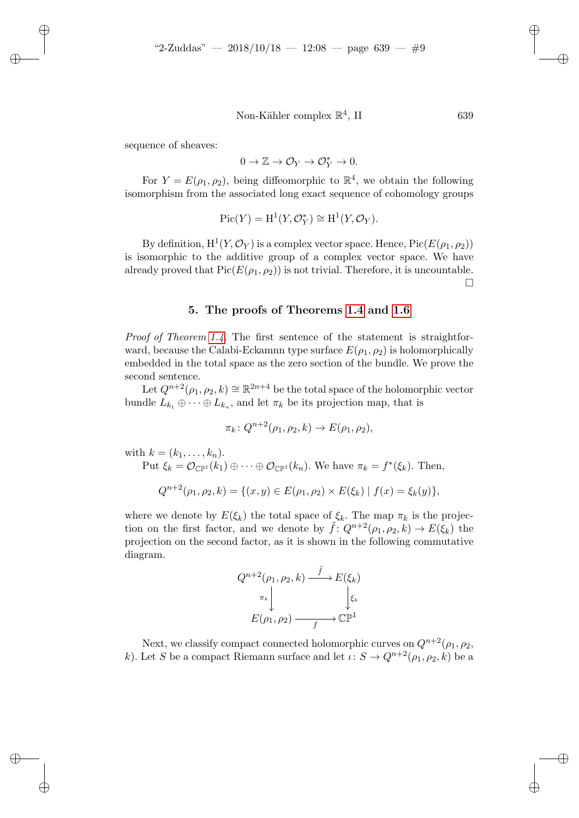sequence of sheaves:

$$
0 \to \mathbb{Z} \to \mathcal{O}_Y \to \mathcal{O}_Y^* \to 0.
$$

For  $Y = E(\rho_1, \rho_2)$ , being diffeomorphic to  $\mathbb{R}^4$ , we obtain the following isomorphism from the associated long exact sequence of cohomology groups

$$
Pic(Y) = H^1(Y, \mathcal{O}_Y^*) \cong H^1(Y, \mathcal{O}_Y).
$$

By definition,  $H^1(Y, \mathcal{O}_Y)$  is a complex vector space. Hence,  $Pic(E(\rho_1, \rho_2))$ is isomorphic to the additive group of a complex vector space. We have already proved that  $Pic(E(\rho_1, \rho_2))$  is not trivial. Therefore, it is uncountable.  $\Box$ 

#### 5. The proofs of Theorems [1.4](#page-1-0) and [1.6](#page-2-1)

<span id="page-8-0"></span>Proof of Theorem [1.4.](#page-1-0) The first sentence of the statement is straightforward, because the Calabi-Eckamnn type surface  $E(\rho_1, \rho_2)$  is holomorphically embedded in the total space as the zero section of the bundle. We prove the second sentence.

Let  $Q^{n+2}(\rho_1, \rho_2, k) \cong \mathbb{R}^{2n+4}$  be the total space of the holomorphic vector bundle  $L_{k_1} \oplus \cdots \oplus L_{k_n}$ , and let  $\pi_k$  be its projection map, that is

$$
\pi_k \colon Q^{n+2}(\rho_1, \rho_2, k) \to E(\rho_1, \rho_2),
$$

with  $k = (k_1, \ldots, k_n)$ . Put  $\xi_k = \mathcal{O}_{\mathbb{CP}^1}(k_1) \oplus \cdots \oplus \mathcal{O}_{\mathbb{CP}^1}(k_n)$ . We have  $\pi_k = f^*(\xi_k)$ . Then,  $Q^{n+2}(\rho_1, \rho_2, k) = \{(x, y) \in E(\rho_1, \rho_2) \times E(\xi_k) | f(x) = \xi_k(y)\},$ 

where we denote by  $E(\xi_k)$  the total space of  $\xi_k$ . The map  $\pi_k$  is the projection on the first factor, and we denote by  $\tilde{f}: Q^{n+2}(\rho_1, \rho_2, k) \to E(\xi_k)$  the projection on the second factor, as it is shown in the following commutative diagram.

$$
Q^{n+2}(\rho_1, \rho_2, k) \xrightarrow{\tilde{f}} E(\xi_k)
$$

$$
\pi_k \downarrow \qquad \qquad \downarrow \xi_k
$$

$$
E(\rho_1, \rho_2) \xrightarrow{f} \mathbb{CP}^1
$$

Next, we classify compact connected holomorphic curves on  $Q^{n+2}(\rho_1, \rho_2, \rho_3)$ k). Let S be a compact Riemann surface and let  $\iota: S \to Q^{n+2}(\rho_1, \rho_2, k)$  be a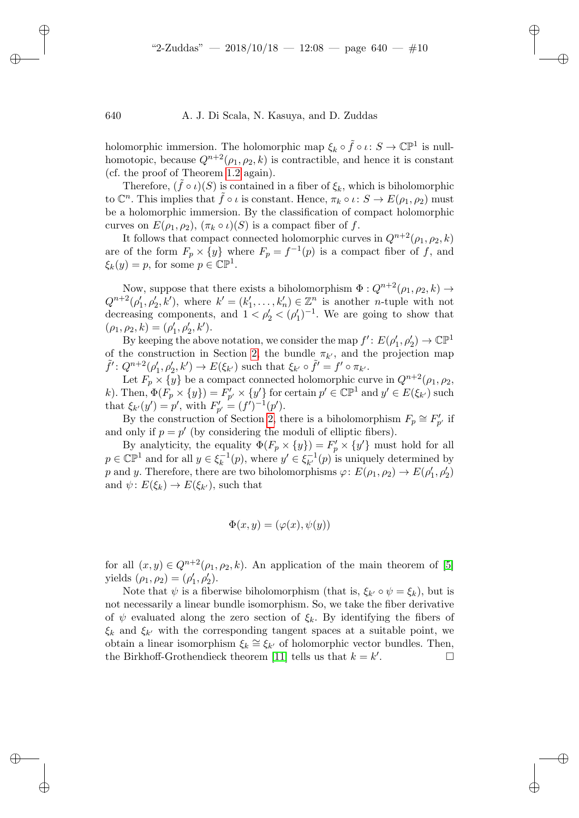holomorphic immersion. The holomorphic map  $\xi_k \circ \tilde{f} \circ \iota \colon S \to \mathbb{CP}^1$  is nullhomotopic, because  $Q^{n+2}(\rho_1, \rho_2, k)$  is contractible, and hence it is constant (cf. the proof of Theorem [1.2](#page-1-1) again).

Therefore,  $(\bar{f} \circ \iota)(S)$  is contained in a fiber of  $\xi_k$ , which is biholomorphic to  $\mathbb{C}^n$ . This implies that  $\tilde{f} \circ \iota$  is constant. Hence,  $\pi_k \circ \iota: S \to E(\rho_1, \rho_2)$  must be a holomorphic immersion. By the classification of compact holomorphic curves on  $E(\rho_1, \rho_2)$ ,  $(\pi_k \circ \iota)(S)$  is a compact fiber of f.

It follows that compact connected holomorphic curves in  $Q^{n+2}(\rho_1, \rho_2, k)$ are of the form  $F_p \times \{y\}$  where  $F_p = f^{-1}(p)$  is a compact fiber of f, and  $\xi_k(y) = p$ , for some  $p \in \mathbb{C} \mathbb{P}^1$ .

Now, suppose that there exists a biholomorphism  $\Phi: Q^{n+2}(\rho_1, \rho_2, k) \to$  $Q^{n+2}(\rho'_1, \rho'_2, k')$ , where  $k' = (k'_1, \ldots, k'_n) \in \mathbb{Z}^n$  is another *n*-tuple with not decreasing components, and  $1 < \rho'_2 < (\rho'_1)^{-1}$ . We are going to show that  $(\rho_1, \rho_2, k) = (\rho'_1, \rho'_2, k').$ 

By keeping the above notation, we consider the map  $f' : E(\rho'_1, \rho'_2) \to \mathbb{CP}^1$ of the construction in Section [2,](#page-2-0) the bundle  $\pi_{k'}$ , and the projection map  $\tilde{f}' : Q^{n+2}(\rho'_1, \rho'_2, k') \to E(\xi_{k'})$  such that  $\xi_{k'} \circ \tilde{f}' = f' \circ \pi_{k'}$ .

Let  $F_p \times \{y\}$  be a compact connected holomorphic curve in  $Q^{n+2}(\rho_1, \rho_2, \rho_3)$ k). Then,  $\Phi(F_p \times \{y\}) = F'_{p'} \times \{y'\}$  for certain  $p' \in \mathbb{CP}^1$  and  $y' \in E(\xi_{k'})$  such that  $\xi_{k'}(y') = p'$ , with  $F'_{p'} = (f')^{-1}(p')$ .

By the construction of Section [2,](#page-2-0) there is a biholomorphism  $F_p \cong F'_{p'}$  if and only if  $p = p'$  (by considering the moduli of elliptic fibers).

By analyticity, the equality  $\Phi(F_p \times \{y\}) = F'_p \times \{y'\}$  must hold for all  $p \in \mathbb{CP}^1$  and for all  $y \in \xi_k^{-1}$  $\chi_k^{-1}(p)$ , where  $y' \in \xi_{k'}^{-1}$  $_{k'}^{-1}(p)$  is uniquely determined by p and y. Therefore, there are two biholomorphisms  $\varphi: E(\rho_1, \rho_2) \to E(\rho'_1, \rho'_2)$ and  $\psi: E(\xi_k) \to E(\xi_{k'})$ , such that

$$
\Phi(x, y) = (\varphi(x), \psi(y))
$$

for all  $(x, y) \in Q^{n+2}(\rho_1, \rho_2, k)$ . An application of the main theorem of [\[5\]](#page-11-0) yields  $(\rho_1, \rho_2) = (\rho'_1, \rho'_2)$ .

Note that  $\psi$  is a fiberwise biholomorphism (that is,  $\xi_{k'} \circ \psi = \xi_k$ ), but is not necessarily a linear bundle isomorphism. So, we take the fiber derivative of  $\psi$  evaluated along the zero section of  $\xi_k$ . By identifying the fibers of  $\xi_k$  and  $\xi_{k'}$  with the corresponding tangent spaces at a suitable point, we obtain a linear isomorphism  $\xi_k \cong \xi_{k'}$  of holomorphic vector bundles. Then, the Birkhoff-Grothendieck theorem [\[11\]](#page-12-10) tells us that  $k = k'$ . — П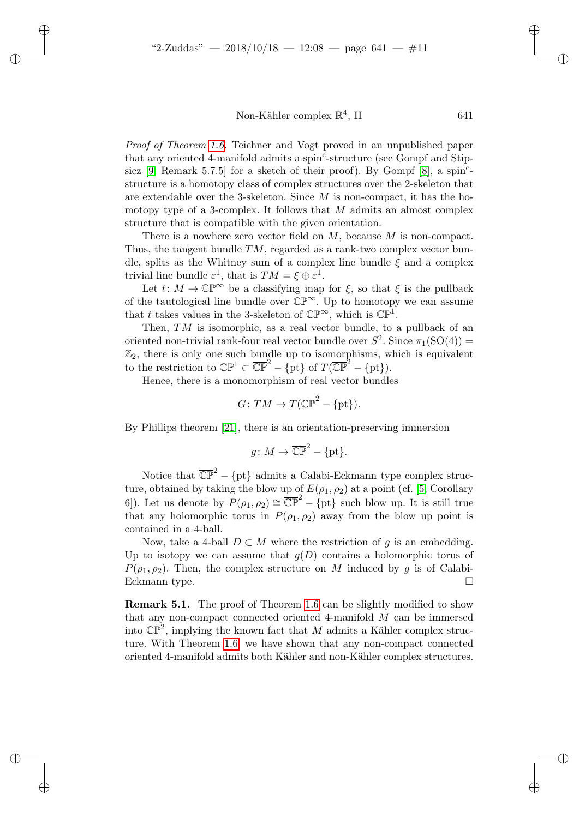Proof of Theorem [1.6.](#page-2-1) Teichner and Vogt proved in an unpublished paper that any oriented 4-manifold admits a spin<sup>c</sup>-structure (see Gompf and Stipsicz  $[9,$  Remark 5.7.5] for a sketch of their proof). By Gompf  $[8]$ , a spin<sup>c</sup>structure is a homotopy class of complex structures over the 2-skeleton that are extendable over the 3-skeleton. Since  $M$  is non-compact, it has the homotopy type of a 3-complex. It follows that  $M$  admits an almost complex structure that is compatible with the given orientation.

There is a nowhere zero vector field on  $M$ , because  $M$  is non-compact. Thus, the tangent bundle  $TM$ , regarded as a rank-two complex vector bundle, splits as the Whitney sum of a complex line bundle  $\xi$  and a complex trivial line bundle  $\varepsilon^1$ , that is  $TM = \xi \oplus \varepsilon^1$ .

Let  $t: M \to \mathbb{CP}^{\infty}$  be a classifying map for  $\xi$ , so that  $\xi$  is the pullback of the tautological line bundle over  $\mathbb{CP}^{\infty}$ . Up to homotopy we can assume that t takes values in the 3-skeleton of  $\mathbb{CP}^{\infty}$ , which is  $\mathbb{CP}^{1}$ .

Then, TM is isomorphic, as a real vector bundle, to a pullback of an oriented non-trivial rank-four real vector bundle over  $S^2$ . Since  $\pi_1(SO(4))$  =  $\mathbb{Z}_2$ , there is only one such bundle up to isomorphisms, which is equivalent to the restriction to  $\mathbb{CP}^1 \subset \overline{\mathbb{CP}}^2 - \{\text{pt}\}\$  of  $T(\overline{\mathbb{CP}}^2 - \{\text{pt}\}).$ 

Hence, there is a monomorphism of real vector bundles

$$
G\colon TM\to T(\overline{\mathbb{CP}}^2-\{\textup{pt}\}).
$$

By Phillips theorem [\[21\]](#page-12-11), there is an orientation-preserving immersion

$$
g\colon M\to\overline{\mathbb{CP}}^2-\{\text{pt}\}.
$$

Notice that  $\overline{\mathbb{CP}}^2 - \{pt\}$  admits a Calabi-Eckmann type complex structure, obtained by taking the blow up of  $E(\rho_1, \rho_2)$  at a point (cf. [\[5,](#page-11-0) Corollary 6]). Let us denote by  $P(\rho_1, \rho_2) \cong \overline{\mathbb{CP}}^2 - \{\text{pt}\}\$  such blow up. It is still true that any holomorphic torus in  $P(\rho_1, \rho_2)$  away from the blow up point is contained in a 4-ball.

Now, take a 4-ball  $D \subset M$  where the restriction of g is an embedding. Up to isotopy we can assume that  $g(D)$  contains a holomorphic torus of  $P(\rho_1, \rho_2)$ . Then, the complex structure on M induced by g is of Calabi-Eckmann type.

**Remark 5.1.** The proof of Theorem [1.6](#page-2-1) can be slightly modified to show that any non-compact connected oriented 4-manifold  $M$  can be immersed into  $\mathbb{CP}^2$ , implying the known fact that M admits a Kähler complex structure. With Theorem [1.6,](#page-2-1) we have shown that any non-compact connected oriented 4-manifold admits both Kähler and non-Kähler complex structures.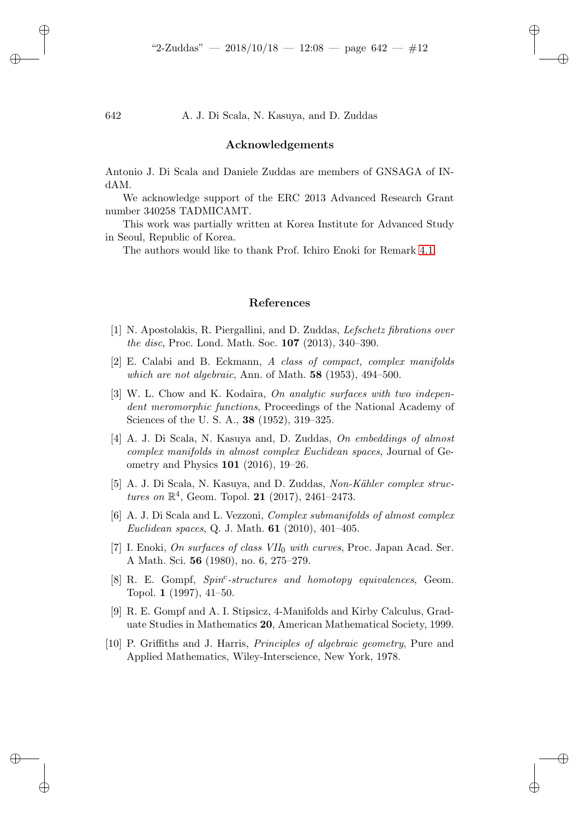#### Acknowledgements

Antonio J. Di Scala and Daniele Zuddas are members of GNSAGA of INdAM.

We acknowledge support of the ERC 2013 Advanced Research Grant number 340258 TADMICAMT.

This work was partially written at Korea Institute for Advanced Study in Seoul, Republic of Korea.

The authors would like to thank Prof. Ichiro Enoki for Remark [4.1.](#page-5-0)

#### References

- <span id="page-11-3"></span>[1] N. Apostolakis, R. Piergallini, and D. Zuddas, Lefschetz fibrations over the disc, Proc. Lond. Math. Soc. 107 (2013), 340–390.
- <span id="page-11-1"></span>[2] E. Calabi and B. Eckmann, A class of compact, complex manifolds which are not algebraic, Ann. of Math.  $58$  (1953), 494–500.
- <span id="page-11-6"></span>[3] W. L. Chow and K. Kodaira, On analytic surfaces with two independent meromorphic functions, Proceedings of the National Academy of Sciences of the U. S. A., 38 (1952), 319–325.
- <span id="page-11-5"></span>[4] A. J. Di Scala, N. Kasuya and, D. Zuddas, On embeddings of almost complex manifolds in almost complex Euclidean spaces, Journal of Geometry and Physics 101 (2016), 19–26.
- <span id="page-11-0"></span>[5] A. J. Di Scala, N. Kasuya, and D. Zuddas, Non-Kähler complex structures on  $\mathbb{R}^4$ , Geom. Topol. 21 (2017), 2461-2473.
- <span id="page-11-4"></span>[6] A. J. Di Scala and L. Vezzoni, Complex submanifolds of almost complex *Euclidean spaces*, Q. J. Math. **61** (2010), 401–405.
- <span id="page-11-7"></span>[7] I. Enoki, On surfaces of class  $VII_0$  with curves, Proc. Japan Acad. Ser. A Math. Sci. 56 (1980), no. 6, 275–279.
- <span id="page-11-9"></span>[8] R. E. Gompf, Spin<sup>c</sup>-structures and homotopy equivalences, Geom. Topol. 1 (1997), 41–50.
- <span id="page-11-2"></span>[9] R. E. Gompf and A. I. Stipsicz, 4-Manifolds and Kirby Calculus, Graduate Studies in Mathematics 20, American Mathematical Society, 1999.
- <span id="page-11-8"></span>[10] P. Griffiths and J. Harris, Principles of algebraic geometry, Pure and Applied Mathematics, Wiley-Interscience, New York, 1978.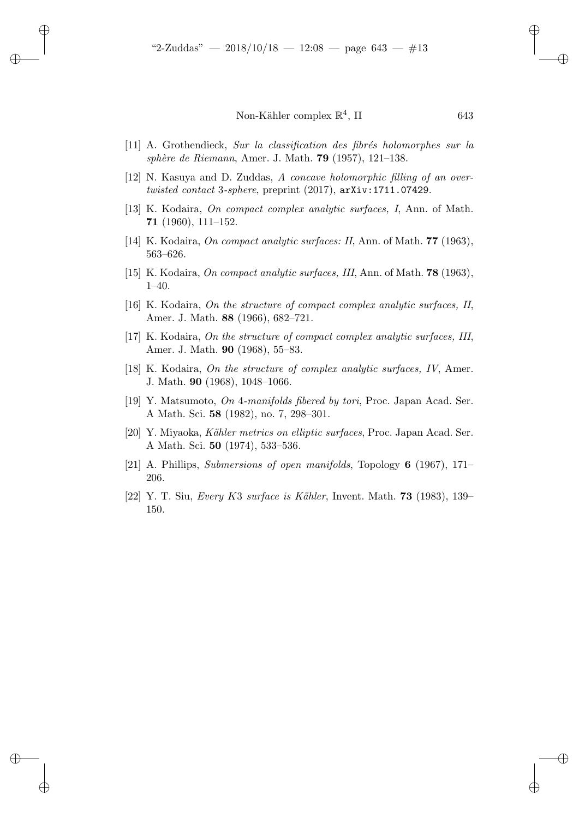- <span id="page-12-10"></span> $[11]$  A. Grothendieck, Sur la classification des fibrés holomorphes sur la sphère de Riemann, Amer. J. Math.  $79$  (1957), 121–138.
- <span id="page-12-0"></span>[12] N. Kasuya and D. Zuddas, A concave holomorphic filling of an overtwisted contact 3-sphere, preprint  $(2017)$ ,  $arXiv:1711.07429$ .
- <span id="page-12-1"></span>[13] K. Kodaira, On compact complex analytic surfaces, I, Ann. of Math. 71 (1960), 111–152.
- <span id="page-12-3"></span>[14] K. Kodaira, On compact analytic surfaces: II, Ann. of Math. 77 (1963), 563–626.
- <span id="page-12-2"></span>[15] K. Kodaira, On compact analytic surfaces, III, Ann. of Math. 78 (1963), 1–40.
- <span id="page-12-9"></span>[16] K. Kodaira, On the structure of compact complex analytic surfaces, II, Amer. J. Math. 88 (1966), 682–721.
- <span id="page-12-6"></span>[17] K. Kodaira, On the structure of compact complex analytic surfaces, III, Amer. J. Math. 90 (1968), 55–83.
- <span id="page-12-5"></span>[18] K. Kodaira, On the structure of complex analytic surfaces, IV, Amer. J. Math. 90 (1968), 1048–1066.
- <span id="page-12-4"></span>[19] Y. Matsumoto, On 4-manifolds fibered by tori, Proc. Japan Acad. Ser. A Math. Sci. 58 (1982), no. 7, 298–301.
- <span id="page-12-7"></span>[20] Y. Miyaoka, Kähler metrics on elliptic surfaces, Proc. Japan Acad. Ser. A Math. Sci. 50 (1974), 533–536.
- <span id="page-12-11"></span>[21] A. Phillips, Submersions of open manifolds, Topology 6 (1967), 171– 206.
- <span id="page-12-8"></span> $[22]$  Y. T. Siu, Every K3 surface is Kähler, Invent. Math. **73** (1983), 139– 150.